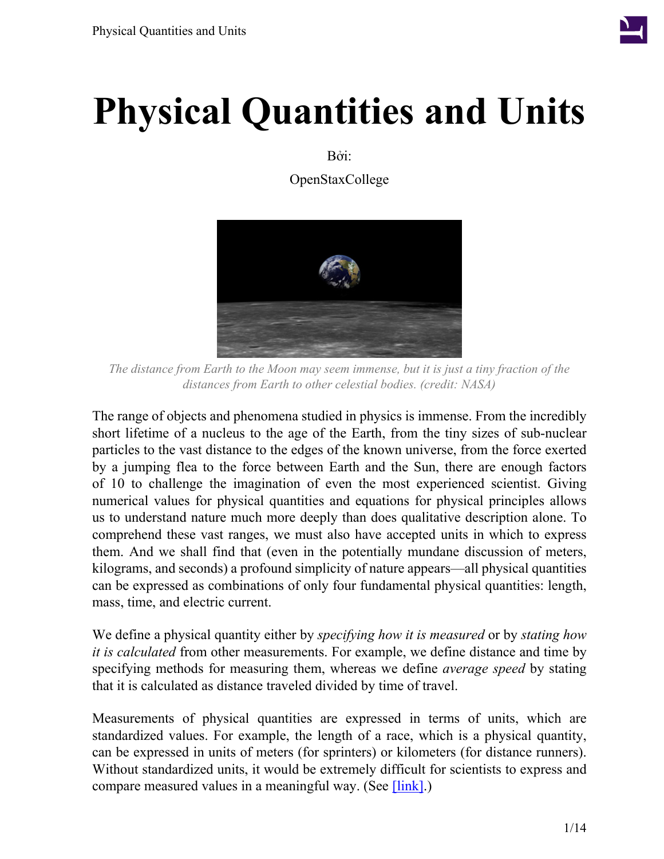

# **Physical Quantities and Units**

Bởi: OpenStaxCollege



*The distance from Earth to the Moon may seem immense, but it is just a tiny fraction of the distances from Earth to other celestial bodies. (credit: NASA)*

The range of objects and phenomena studied in physics is immense. From the incredibly short lifetime of a nucleus to the age of the Earth, from the tiny sizes of sub-nuclear particles to the vast distance to the edges of the known universe, from the force exerted by a jumping flea to the force between Earth and the Sun, there are enough factors of 10 to challenge the imagination of even the most experienced scientist. Giving numerical values for physical quantities and equations for physical principles allows us to understand nature much more deeply than does qualitative description alone. To comprehend these vast ranges, we must also have accepted units in which to express them. And we shall find that (even in the potentially mundane discussion of meters, kilograms, and seconds) a profound simplicity of nature appears—all physical quantities can be expressed as combinations of only four fundamental physical quantities: length, mass, time, and electric current.

We define a physical quantity either by *specifying how it is measured* or by *stating how it is calculated* from other measurements. For example, we define distance and time by specifying methods for measuring them, whereas we define *average speed* by stating that it is calculated as distance traveled divided by time of travel.

Measurements of physical quantities are expressed in terms of units, which are standardized values. For example, the length of a race, which is a physical quantity, can be expressed in units of meters (for sprinters) or kilometers (for distance runners). Without standardized units, it would be extremely difficult for scientists to express and compare measured values in a meaningful way. (See [\[link\].](#page-1-0))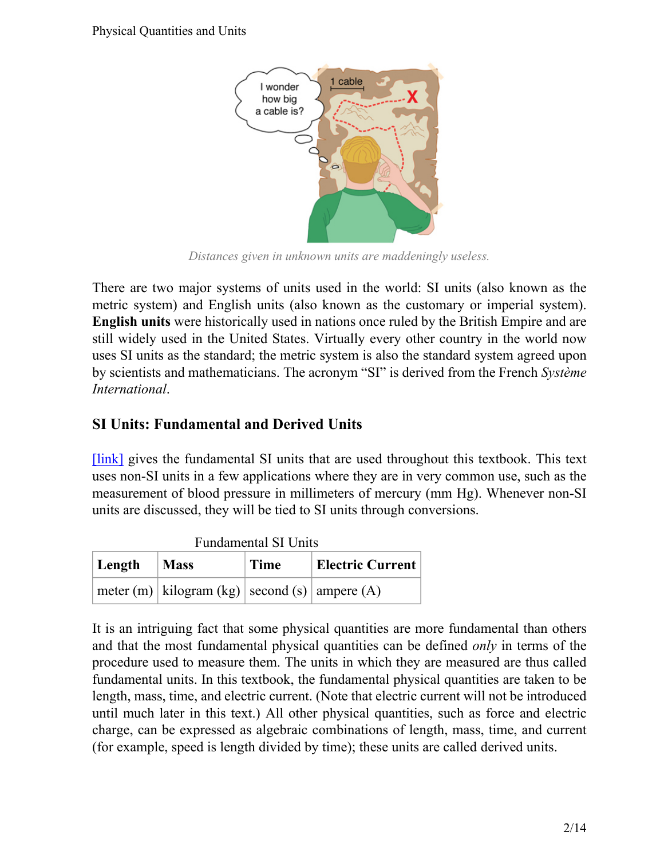<span id="page-1-0"></span>

*Distances given in unknown units are maddeningly useless.*

There are two major systems of units used in the world: SI units (also known as the metric system) and English units (also known as the customary or imperial system). **English units** were historically used in nations once ruled by the British Empire and are still widely used in the United States. Virtually every other country in the world now uses SI units as the standard; the metric system is also the standard system agreed upon by scientists and mathematicians. The acronym "SI" is derived from the French *Système International*.

## **SI Units: Fundamental and Derived Units**

[\[link\]](#page-1-1) gives the fundamental SI units that are used throughout this textbook. This text uses non-SI units in a few applications where they are in very common use, such as the measurement of blood pressure in millimeters of mercury (mm Hg). Whenever non-SI units are discussed, they will be tied to SI units through conversions.

<span id="page-1-1"></span>

| 1 anuannontan di Cinto |                                                                               |      |                         |  |  |  |
|------------------------|-------------------------------------------------------------------------------|------|-------------------------|--|--|--|
| Length                 | Mass                                                                          | Time | <b>Electric Current</b> |  |  |  |
|                        | $\vert$ meter (m) $\vert$ kilogram (kg) $\vert$ second (s) $\vert$ ampere (A) |      |                         |  |  |  |

Fundamental SI Units

It is an intriguing fact that some physical quantities are more fundamental than others and that the most fundamental physical quantities can be defined *only* in terms of the procedure used to measure them. The units in which they are measured are thus called fundamental units. In this textbook, the fundamental physical quantities are taken to be length, mass, time, and electric current. (Note that electric current will not be introduced until much later in this text.) All other physical quantities, such as force and electric charge, can be expressed as algebraic combinations of length, mass, time, and current (for example, speed is length divided by time); these units are called derived units.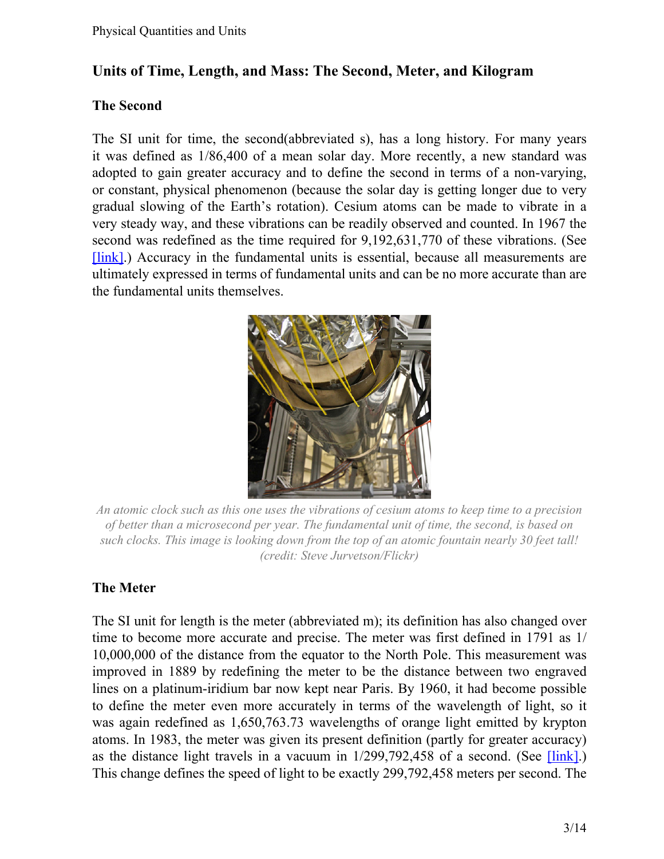## **Units of Time, Length, and Mass: The Second, Meter, and Kilogram**

#### **The Second**

The SI unit for time, the second(abbreviated s), has a long history. For many years it was defined as 1/86,400 of a mean solar day. More recently, a new standard was adopted to gain greater accuracy and to define the second in terms of a non-varying, or constant, physical phenomenon (because the solar day is getting longer due to very gradual slowing of the Earth's rotation). Cesium atoms can be made to vibrate in a very steady way, and these vibrations can be readily observed and counted. In 1967 the second was redefined as the time required for 9,192,631,770 of these vibrations. (See [\[link\].](#page-2-0)) Accuracy in the fundamental units is essential, because all measurements are ultimately expressed in terms of fundamental units and can be no more accurate than are the fundamental units themselves.

<span id="page-2-0"></span>

*An atomic clock such as this one uses the vibrations of cesium atoms to keep time to a precision of better than a microsecond per year. The fundamental unit of time, the second, is based on such clocks. This image is looking down from the top of an atomic fountain nearly 30 feet tall! (credit: Steve Jurvetson/Flickr)*

#### **The Meter**

The SI unit for length is the meter (abbreviated m); its definition has also changed over time to become more accurate and precise. The meter was first defined in 1791 as 1/ 10,000,000 of the distance from the equator to the North Pole. This measurement was improved in 1889 by redefining the meter to be the distance between two engraved lines on a platinum-iridium bar now kept near Paris. By 1960, it had become possible to define the meter even more accurately in terms of the wavelength of light, so it was again redefined as 1,650,763.73 wavelengths of orange light emitted by krypton atoms. In 1983, the meter was given its present definition (partly for greater accuracy) as the distance light travels in a vacuum in 1/299,792,458 of a second. (See [\[link\].](#page-3-0)) This change defines the speed of light to be exactly 299,792,458 meters per second. The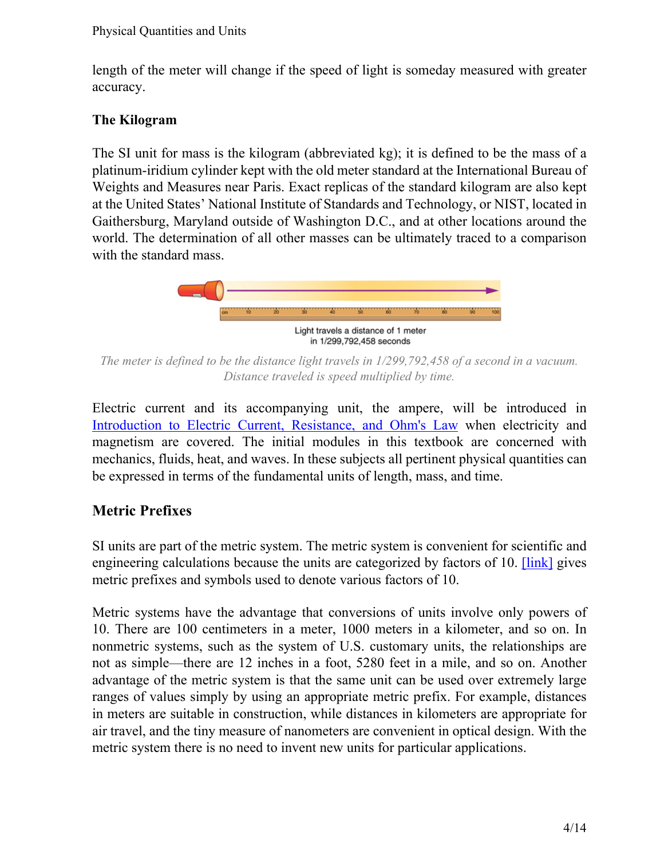length of the meter will change if the speed of light is someday measured with greater accuracy.

#### **The Kilogram**

The SI unit for mass is the kilogram (abbreviated kg); it is defined to be the mass of a platinum-iridium cylinder kept with the old meter standard at the International Bureau of Weights and Measures near Paris. Exact replicas of the standard kilogram are also kept at the United States' National Institute of Standards and Technology, or NIST, located in Gaithersburg, Maryland outside of Washington D.C., and at other locations around the world. The determination of all other masses can be ultimately traced to a comparison with the standard mass.



<span id="page-3-0"></span>*The meter is defined to be the distance light travels in 1/299,792,458 of a second in a vacuum. Distance traveled is speed multiplied by time.*

Electric current and its accompanying unit, the ampere, will be introduced in [Introduction](/m42339) to Electric Current, Resistance, and Ohm's Law when electricity and magnetism are covered. The initial modules in this textbook are concerned with mechanics, fluids, heat, and waves. In these subjects all pertinent physical quantities can be expressed in terms of the fundamental units of length, mass, and time.

# **Metric Prefixes**

SI units are part of the metric system. The metric system is convenient for scientific and engineering calculations because the units are categorized by factors of 10. [\[link\]](#page-4-0) gives metric prefixes and symbols used to denote various factors of 10.

Metric systems have the advantage that conversions of units involve only powers of 10. There are 100 centimeters in a meter, 1000 meters in a kilometer, and so on. In nonmetric systems, such as the system of U.S. customary units, the relationships are not as simple—there are 12 inches in a foot, 5280 feet in a mile, and so on. Another advantage of the metric system is that the same unit can be used over extremely large ranges of values simply by using an appropriate metric prefix. For example, distances in meters are suitable in construction, while distances in kilometers are appropriate for air travel, and the tiny measure of nanometers are convenient in optical design. With the metric system there is no need to invent new units for particular applications.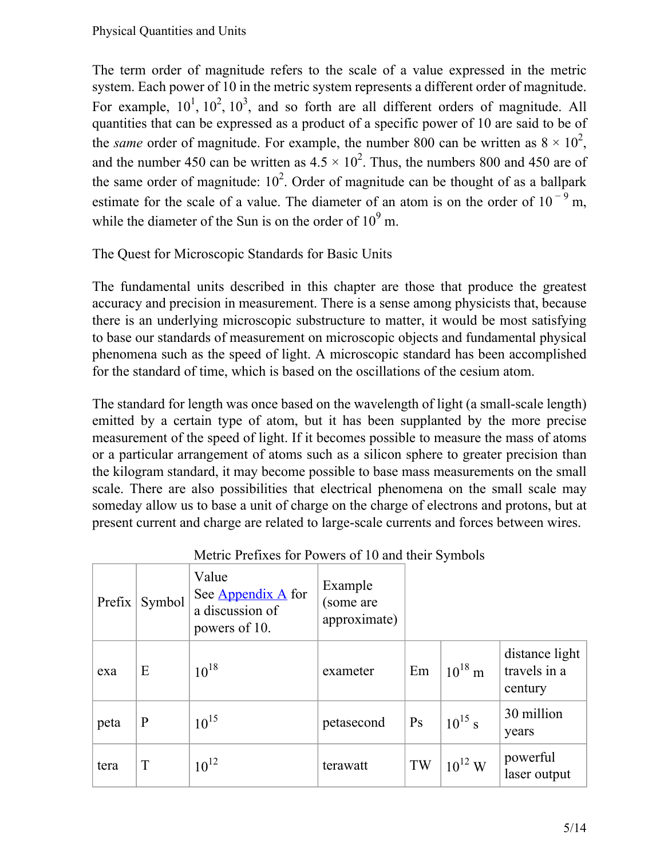The term order of magnitude refers to the scale of a value expressed in the metric system. Each power of 10 in the metric system represents a different order of magnitude. For example,  $10^1$ ,  $10^2$ ,  $10^3$ , and so forth are all different orders of magnitude. All quantities that can be expressed as a product of a specific power of 10 are said to be of the *same* order of magnitude. For example, the number 800 can be written as  $8 \times 10^2$ , and the number 450 can be written as  $4.5 \times 10^2$ . Thus, the numbers 800 and 450 are of the same order of magnitude:  $10^2$ . Order of magnitude can be thought of as a ballpark estimate for the scale of a value. The diameter of an atom is on the order of  $10^{-9}$  m, while the diameter of the Sun is on the order of  $10^9$  m.

#### The Quest for Microscopic Standards for Basic Units

The fundamental units described in this chapter are those that produce the greatest accuracy and precision in measurement. There is a sense among physicists that, because there is an underlying microscopic substructure to matter, it would be most satisfying to base our standards of measurement on microscopic objects and fundamental physical phenomena such as the speed of light. A microscopic standard has been accomplished for the standard of time, which is based on the oscillations of the cesium atom.

The standard for length was once based on the wavelength of light (a small-scale length) emitted by a certain type of atom, but it has been supplanted by the more precise measurement of the speed of light. If it becomes possible to measure the mass of atoms or a particular arrangement of atoms such as a silicon sphere to greater precision than the kilogram standard, it may become possible to base mass measurements on the small scale. There are also possibilities that electrical phenomena on the small scale may someday allow us to base a unit of charge on the charge of electrons and protons, but at present current and charge are related to large-scale currents and forces between wires.

<span id="page-4-0"></span>

| Prefix | Symbol | Value<br>See Appendix A for<br>a discussion of<br>powers of 10. | Example<br>(some are<br>approximate) |    |             |                                           |
|--------|--------|-----------------------------------------------------------------|--------------------------------------|----|-------------|-------------------------------------------|
| exa    | E      | $10^{18}$                                                       | exameter                             | Em | $10^{18}$ m | distance light<br>travels in a<br>century |
| peta   | P      | $10^{15}$                                                       | petasecond                           | Ps | $10^{15}$ s | 30 million<br>years                       |
| tera   | T      | $10^{12}$                                                       | terawatt                             | TW | $10^{12}$ W | powerful<br>laser output                  |

#### Metric Prefixes for Powers of 10 and their Symbols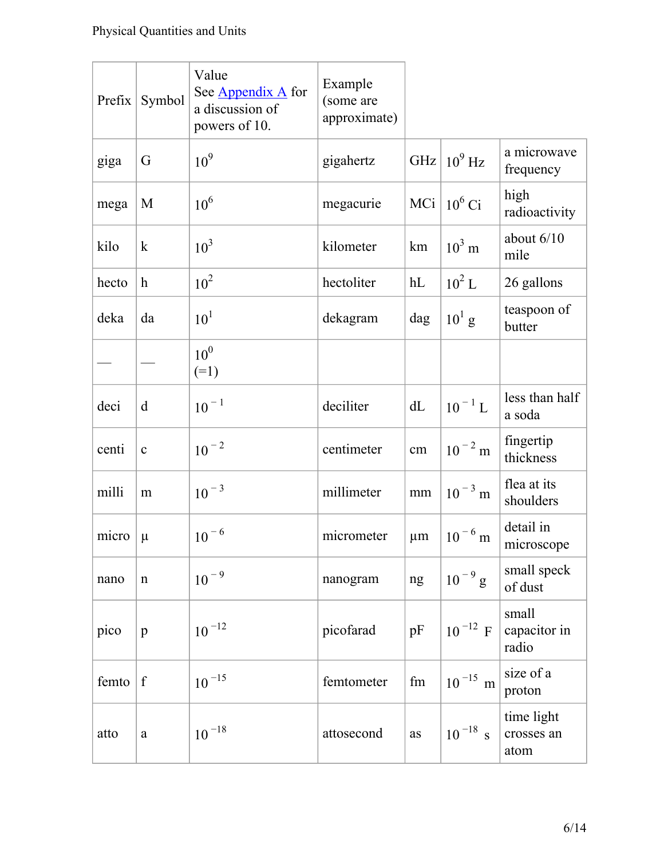| Prefix | Symbol           | Value<br>See Appendix A for<br>a discussion of<br>powers of 10. | Example<br>(some are<br>approximate) |          |              |                                  |
|--------|------------------|-----------------------------------------------------------------|--------------------------------------|----------|--------------|----------------------------------|
| giga   | G                | 10 <sup>9</sup>                                                 | gigahertz                            | GHz      | $10^9$ Hz    | a microwave<br>frequency         |
| mega   | M                | 10 <sup>6</sup>                                                 | megacurie                            | MCi      | $10^6$ Ci    | high<br>radioactivity            |
| kilo   | $\mathbf k$      | 10 <sup>3</sup>                                                 | kilometer                            | km       | $10^3$ m     | about $6/10$<br>mile             |
| hecto  | $\mathbf{h}$     | 10 <sup>2</sup>                                                 | hectoliter                           | hL       | $10^2$ L     | 26 gallons                       |
| deka   | da               | 10 <sup>1</sup>                                                 | dekagram                             | dag      | $10^1$ g     | teaspoon of<br>butter            |
|        |                  | 10 <sup>0</sup><br>$(=1)$                                       |                                      |          |              |                                  |
| deci   | d                | $10^{-1}$                                                       | deciliter                            | dL       | $10^{-1}$ L  | less than half<br>a soda         |
| centi  | $\mathbf{C}$     | $10^{-2}$                                                       | centimeter                           | $\rm cm$ | $10^{-2}$ m  | fingertip<br>thickness           |
| milli  | m                | $10^{-3}$                                                       | millimeter                           | mm       | $10^{-3}$ m  | flea at its<br>shoulders         |
| micro  | $\mu$            | $10^{-6}$                                                       | micrometer                           | $\mu$ m  | $10^{-6}$ m  | detail in<br>microscope          |
| nano   | $\mathbf n$      | $10^{-9}$                                                       | nanogram                             | ng       | $10^{-9}$ g  | small speck<br>of dust           |
| pico   | p                | $10^{-12}$                                                      | picofarad                            | pF       | $10^{-12}$ F | small<br>capacitor in<br>radio   |
| femto  | $\boldsymbol{f}$ | $10^{-15}$                                                      | femtometer                           | fm       | $10^{-15}$ m | size of a<br>proton              |
| atto   | $\rm{a}$         | $10^{-18}$                                                      | attosecond                           | as       | $10^{-18}$ s | time light<br>crosses an<br>atom |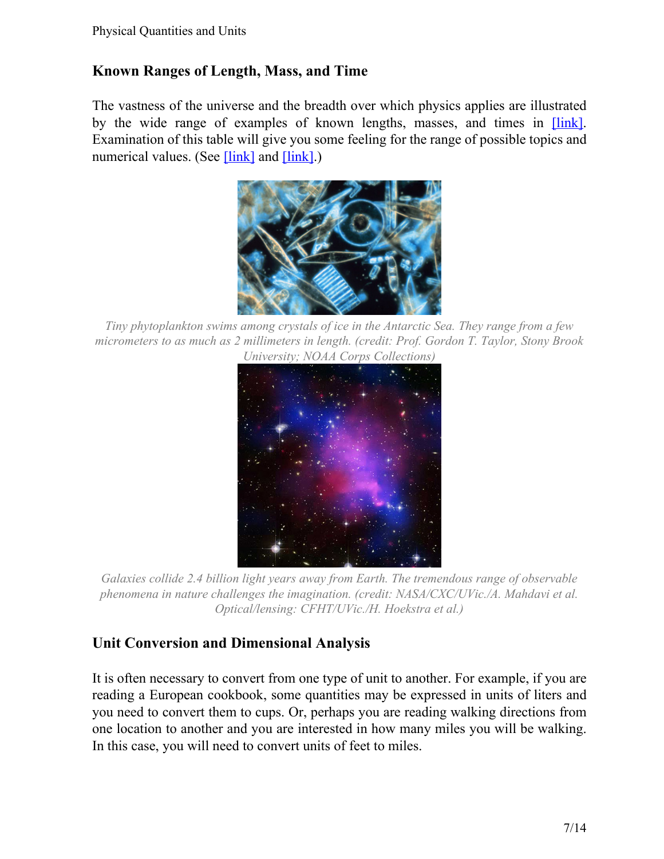## **Known Ranges of Length, Mass, and Time**

<span id="page-6-0"></span>The vastness of the universe and the breadth over which physics applies are illustrated by the wide range of examples of known lengths, masses, and times in [\[link\].](#page-7-0) Examination of this table will give you some feeling for the range of possible topics and numerical values. (See [\[link\]](#page-6-1) and [link].)



<span id="page-6-1"></span>*Tiny phytoplankton swims among crystals of ice in the Antarctic Sea. They range from a few micrometers to as much as 2 millimeters in length. (credit: Prof. Gordon T. Taylor, Stony Brook*



*Galaxies collide 2.4 billion light years away from Earth. The tremendous range of observable phenomena in nature challenges the imagination. (credit: NASA/CXC/UVic./A. Mahdavi et al. Optical/lensing: CFHT/UVic./H. Hoekstra et al.)*

## **Unit Conversion and Dimensional Analysis**

It is often necessary to convert from one type of unit to another. For example, if you are reading a European cookbook, some quantities may be expressed in units of liters and you need to convert them to cups. Or, perhaps you are reading walking directions from one location to another and you are interested in how many miles you will be walking. In this case, you will need to convert units of feet to miles.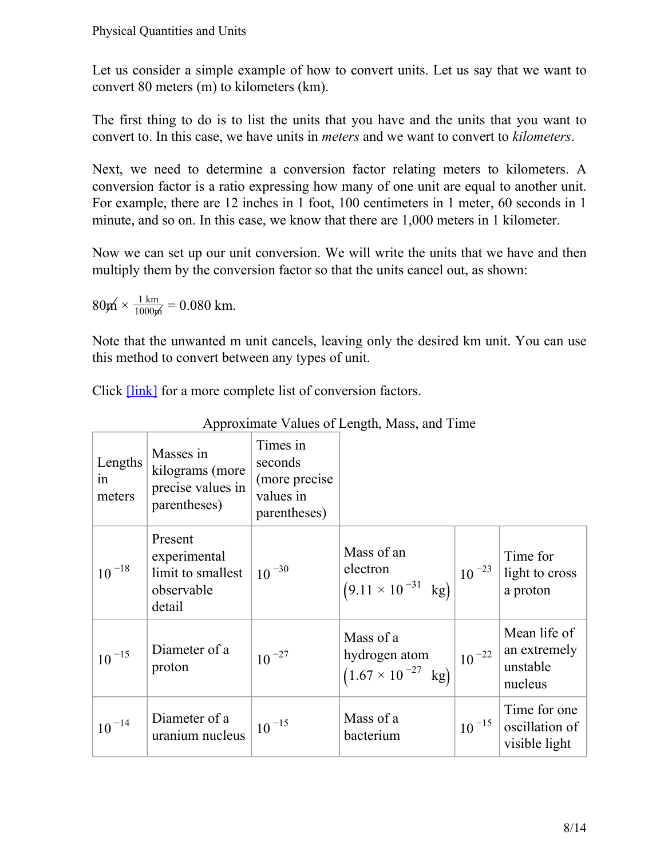Let us consider a simple example of how to convert units. Let us say that we want to convert 80 meters (m) to kilometers (km).

The first thing to do is to list the units that you have and the units that you want to convert to. In this case, we have units in *meters* and we want to convert to *kilometers*.

Next, we need to determine a conversion factor relating meters to kilometers. A conversion factor is a ratio expressing how many of one unit are equal to another unit. For example, there are 12 inches in 1 foot, 100 centimeters in 1 meter, 60 seconds in 1 minute, and so on. In this case, we know that there are 1,000 meters in 1 kilometer.

Now we can set up our unit conversion. We will write the units that we have and then multiply them by the conversion factor so that the units cancel out, as shown:

 $80 \text{m} \times \frac{1 \text{ km}}{1000 \text{ m}}$  $\frac{1 \text{ km}}{1000 \mu}$  = 0.080 km.

Note that the unwanted m unit cancels, leaving only the desired km unit. You can use this method to convert between any types of unit.

Click *[\[link\]](/m42720)* for a more complete list of conversion factors.

<span id="page-7-0"></span>

| Lengths<br>in<br>meters | Masses in<br>kilograms (more<br>precise values in<br>parentheses)    | Times in<br>seconds<br>(more precise)<br>values in<br>parentheses) |                                                               |            |                                                     |
|-------------------------|----------------------------------------------------------------------|--------------------------------------------------------------------|---------------------------------------------------------------|------------|-----------------------------------------------------|
| $10^{-18}$              | Present<br>experimental<br>limit to smallest<br>observable<br>detail | $10^{-30}$                                                         | Mass of an<br>electron<br>$(9.11 \times 10^{-31} \text{ kg})$ | $10^{-23}$ | Time for<br>light to cross<br>a proton              |
| $10^{-15}$              | Diameter of a<br>proton                                              | $10^{-27}$                                                         | Mass of a<br>hydrogen atom<br>$(1.67 \times 10^{-27})$<br>kg) | $10^{-22}$ | Mean life of<br>an extremely<br>unstable<br>nucleus |
| $10^{-14}$              | Diameter of a<br>uranium nucleus                                     | $10^{-15}$                                                         | Mass of a<br>bacterium                                        | $10^{-15}$ | Time for one<br>oscillation of<br>visible light     |

Approximate Values of Length, Mass, and Time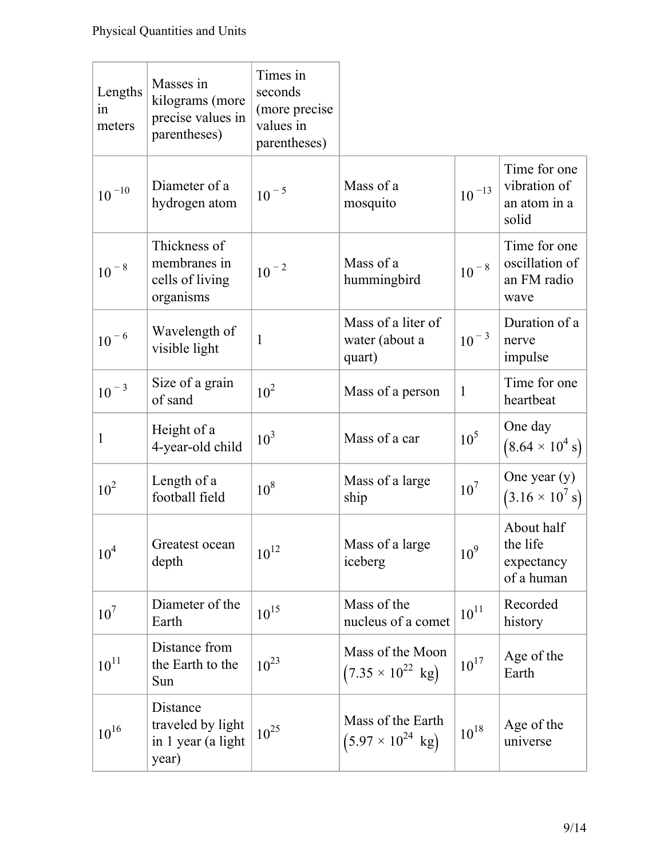| Lengths<br>in<br>meters | Masses in<br>kilograms (more<br>precise values in<br>parentheses) | Times in<br>seconds<br>(more precise)<br>values in<br>parentheses) |                                                         |                 |                                                       |
|-------------------------|-------------------------------------------------------------------|--------------------------------------------------------------------|---------------------------------------------------------|-----------------|-------------------------------------------------------|
| $10^{\,-10}$            | Diameter of a<br>hydrogen atom                                    | $10^{-5}$                                                          | Mass of a<br>mosquito                                   | $10^{-13}$      | Time for one<br>vibration of<br>an atom in a<br>solid |
| $10^{-8}$               | Thickness of<br>membranes in<br>cells of living<br>organisms      | $10^{-2}$                                                          | Mass of a<br>hummingbird                                | $10^{-8}$       | Time for one<br>oscillation of<br>an FM radio<br>wave |
| $10^{-6}$               | Wavelength of<br>visible light                                    | $\mathbf{1}$                                                       | Mass of a liter of<br>water (about a<br>quart)          | $10^{-3}$       | Duration of a<br>nerve<br>impulse                     |
| $10^{-3}$               | Size of a grain<br>of sand                                        | 10 <sup>2</sup>                                                    | Mass of a person                                        | $\mathbf{1}$    | Time for one<br>heartbeat                             |
| $\mathbf{1}$            | Height of a<br>4-year-old child                                   | 10 <sup>3</sup>                                                    | Mass of a car                                           | 10 <sup>5</sup> | One day<br>$(8.64 \times 10^4 \text{ s})$             |
| 10 <sup>2</sup>         | Length of a<br>football field                                     | 10 <sup>8</sup>                                                    | Mass of a large<br>ship                                 | 10 <sup>7</sup> | One year $(y)$<br>$(3.16 \times 10^7 \text{ s})$      |
| 10 <sup>4</sup>         | Greatest ocean<br>depth                                           | $10^{12}\,$                                                        | Mass of a large<br>iceberg                              | $10^9$          | About half<br>the life<br>expectancy<br>of a human    |
| 10 <sup>7</sup>         | Diameter of the<br>Earth                                          | $10^{15}$                                                          | Mass of the<br>nucleus of a comet                       | $10^{11}$       | Recorded<br>history                                   |
| $10^{11}$               | Distance from<br>the Earth to the<br>Sun                          | $10^{23}$                                                          | Mass of the Moon<br>$(7.35 \times 10^{22} \text{ kg})$  | $10^{17}$       | Age of the<br>Earth                                   |
| $10^{16}$               | Distance<br>traveled by light<br>in 1 year (a light<br>year)      | $10^{25}$                                                          | Mass of the Earth<br>$(5.97 \times 10^{24} \text{ kg})$ | $10^{18}$       | Age of the<br>universe                                |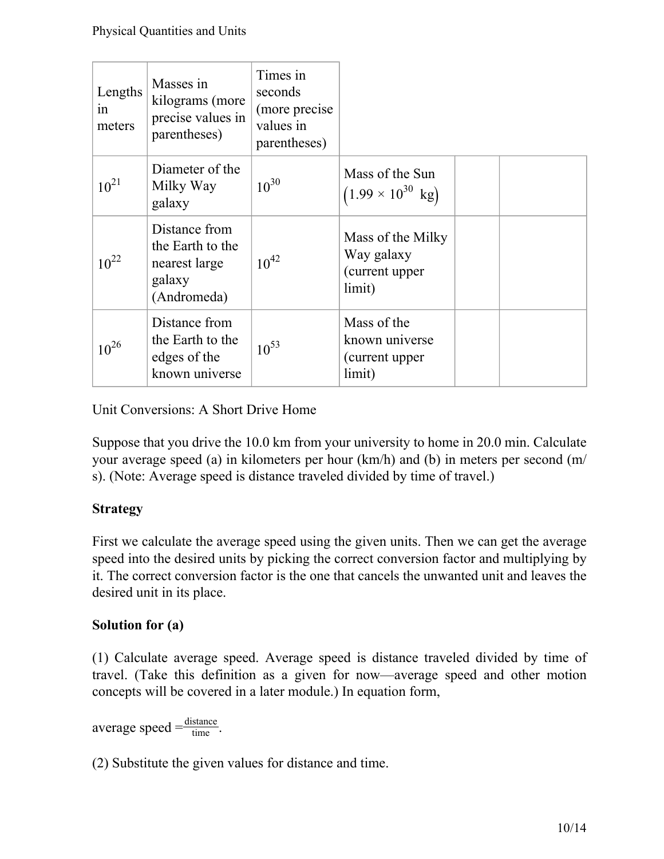| Lengths<br>1n<br>meters | Masses in<br>kilograms (more<br>precise values in<br>parentheses)           | Times in<br>seconds<br>(more precise)<br>values in<br>parentheses) |                                                             |  |
|-------------------------|-----------------------------------------------------------------------------|--------------------------------------------------------------------|-------------------------------------------------------------|--|
| $10^{21}$               | Diameter of the<br>Milky Way<br>galaxy                                      | $10^{30}$                                                          | Mass of the Sun<br>$(1.99 \times 10^{30} \text{ kg})$       |  |
| $10^{22}$               | Distance from<br>the Earth to the<br>nearest large<br>galaxy<br>(Andromeda) | $10^{42}$                                                          | Mass of the Milky<br>Way galaxy<br>(current upper<br>limit) |  |
| $10^{26}$               | Distance from<br>the Earth to the<br>edges of the<br>known universe         | $10^{53}$                                                          | Mass of the<br>known universe<br>(current upper)<br>limit)  |  |

Unit Conversions: A Short Drive Home

Suppose that you drive the 10.0 km from your university to home in 20.0 min. Calculate your average speed (a) in kilometers per hour (km/h) and (b) in meters per second (m/ s). (Note: Average speed is distance traveled divided by time of travel.)

#### **Strategy**

First we calculate the average speed using the given units. Then we can get the average speed into the desired units by picking the correct conversion factor and multiplying by it. The correct conversion factor is the one that cancels the unwanted unit and leaves the desired unit in its place.

#### **Solution for (a)**

(1) Calculate average speed. Average speed is distance traveled divided by time of travel. (Take this definition as a given for now—average speed and other motion concepts will be covered in a later module.) In equation form,

average speed  $=\frac{\text{distance}}{\text{time}}$ .

(2) Substitute the given values for distance and time.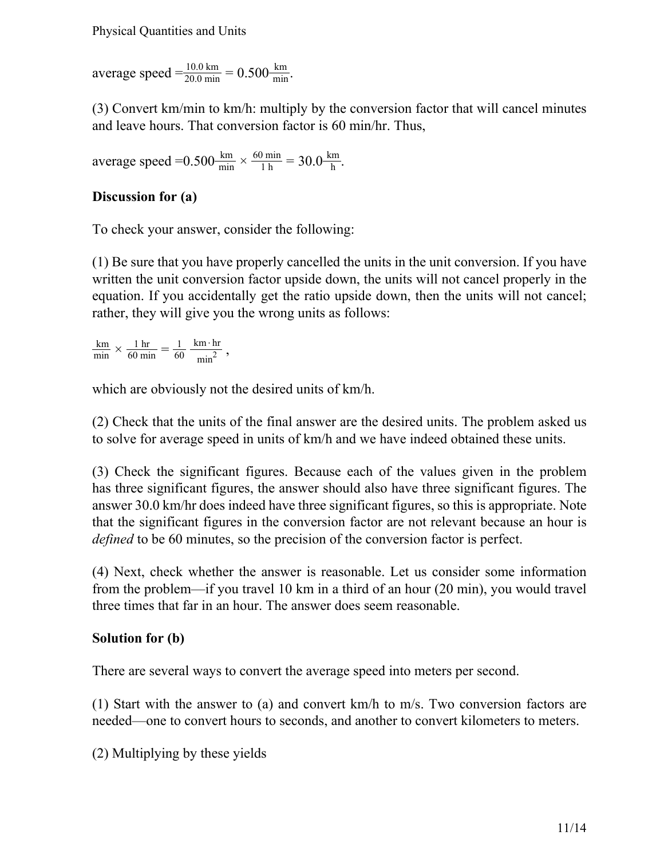Physical Quantities and Units

average speed  $\frac{10.0 \text{ km}}{20.0 \text{ min}} = 0.500 \frac{\text{ km}}{\text{min}}$ .

(3) Convert km/min to km/h: multiply by the conversion factor that will cancel minutes and leave hours. That conversion factor is 60 min/hr. Thus,

average speed =  $0.500 \frac{\text{km}}{\text{min}} \times \frac{60 \text{ min}}{1 \text{ h}}$  $\frac{1 \text{ min}}{1 \text{ h}} = 30.0 \frac{\text{ km}}{\text{h}}$  $\frac{\text{m}}{\text{h}}$ .

#### **Discussion for (a)**

To check your answer, consider the following:

(1) Be sure that you have properly cancelled the units in the unit conversion. If you have written the unit conversion factor upside down, the units will not cancel properly in the equation. If you accidentally get the ratio upside down, then the units will not cancel; rather, they will give you the wrong units as follows:

 $\frac{\text{km}}{\text{min}} \times \frac{1 \text{ hr}}{60 \text{ min}} = \frac{1}{60}$ 60 km⋅hr  $\frac{\text{min}^2}{\text{min}^2}$ ,

which are obviously not the desired units of km/h.

(2) Check that the units of the final answer are the desired units. The problem asked us to solve for average speed in units of km/h and we have indeed obtained these units.

(3) Check the significant figures. Because each of the values given in the problem has three significant figures, the answer should also have three significant figures. The answer 30.0 km/hr does indeed have three significant figures, so this is appropriate. Note that the significant figures in the conversion factor are not relevant because an hour is *defined* to be 60 minutes, so the precision of the conversion factor is perfect.

(4) Next, check whether the answer is reasonable. Let us consider some information from the problem—if you travel 10 km in a third of an hour (20 min), you would travel three times that far in an hour. The answer does seem reasonable.

#### **Solution for (b)**

There are several ways to convert the average speed into meters per second.

(1) Start with the answer to (a) and convert km/h to m/s. Two conversion factors are needed—one to convert hours to seconds, and another to convert kilometers to meters.

(2) Multiplying by these yields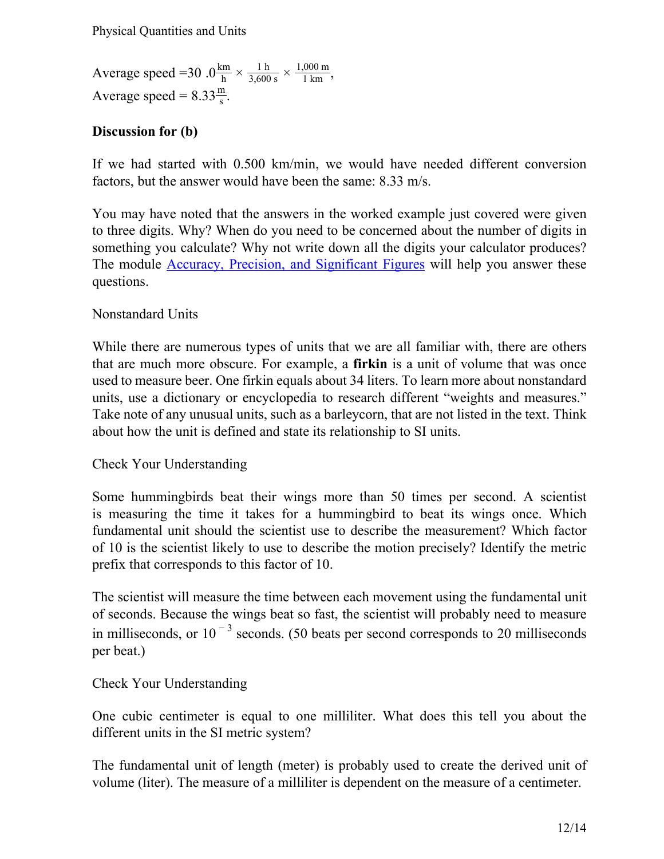Average speed =30 .0 $\frac{\text{km}}{\text{h}}$  $\frac{\text{m}}{\text{h}} \times \frac{1 \text{ h}}{3,600 \text{ s}} \times \frac{1,000 \text{ m}}{1 \text{ km}},$ Average speed =  $8.33 \frac{\text{m}}{\text{s}}$ .

#### **Discussion for (b)**

If we had started with 0.500 km/min, we would have needed different conversion factors, but the answer would have been the same: 8.33 m/s.

You may have noted that the answers in the worked example just covered were given to three digits. Why? When do you need to be concerned about the number of digits in something you calculate? Why not write down all the digits your calculator produces? The module Accuracy, Precision, and [Significant](/m42120) Figures will help you answer these questions.

#### Nonstandard Units

While there are numerous types of units that we are all familiar with, there are others that are much more obscure. For example, a **firkin** is a unit of volume that was once used to measure beer. One firkin equals about 34 liters. To learn more about nonstandard units, use a dictionary or encyclopedia to research different "weights and measures." Take note of any unusual units, such as a barleycorn, that are not listed in the text. Think about how the unit is defined and state its relationship to SI units.

#### Check Your Understanding

Some hummingbirds beat their wings more than 50 times per second. A scientist is measuring the time it takes for a hummingbird to beat its wings once. Which fundamental unit should the scientist use to describe the measurement? Which factor of 10 is the scientist likely to use to describe the motion precisely? Identify the metric prefix that corresponds to this factor of 10.

The scientist will measure the time between each movement using the fundamental unit of seconds. Because the wings beat so fast, the scientist will probably need to measure in milliseconds, or  $10^{-3}$  seconds. (50 beats per second corresponds to 20 milliseconds per beat.)

#### Check Your Understanding

One cubic centimeter is equal to one milliliter. What does this tell you about the different units in the SI metric system?

The fundamental unit of length (meter) is probably used to create the derived unit of volume (liter). The measure of a milliliter is dependent on the measure of a centimeter.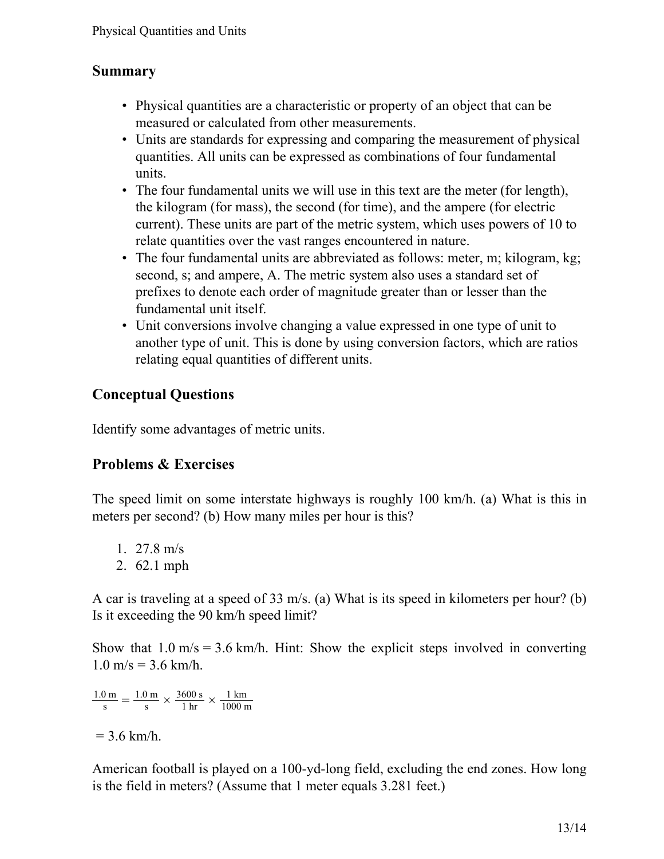# **Summary**

- Physical quantities are a characteristic or property of an object that can be measured or calculated from other measurements.
- Units are standards for expressing and comparing the measurement of physical quantities. All units can be expressed as combinations of four fundamental units.
- The four fundamental units we will use in this text are the meter (for length), the kilogram (for mass), the second (for time), and the ampere (for electric current). These units are part of the metric system, which uses powers of 10 to relate quantities over the vast ranges encountered in nature.
- The four fundamental units are abbreviated as follows: meter, m; kilogram, kg; second, s; and ampere, A. The metric system also uses a standard set of prefixes to denote each order of magnitude greater than or lesser than the fundamental unit itself.
- Unit conversions involve changing a value expressed in one type of unit to another type of unit. This is done by using conversion factors, which are ratios relating equal quantities of different units.

# **Conceptual Questions**

Identify some advantages of metric units.

# **Problems & Exercises**

The speed limit on some interstate highways is roughly 100 km/h. (a) What is this in meters per second? (b) How many miles per hour is this?

1. 27.8 m/s 2. 62.1 mph

A car is traveling at a speed of 33 m/s. (a) What is its speed in kilometers per hour? (b) Is it exceeding the 90 km/h speed limit?

Show that  $1.0 \text{ m/s} = 3.6 \text{ km/h}$ . Hint: Show the explicit steps involved in converting  $1.0 \text{ m/s} = 3.6 \text{ km/h}.$ 

$$
\frac{1.0 \text{ m}}{\text{s}} = \frac{1.0 \text{ m}}{\text{s}} \times \frac{3600 \text{ s}}{1 \text{ hr}} \times \frac{1 \text{ km}}{1000 \text{ m}}
$$

 $= 3.6$  km/h.

American football is played on a 100-yd-long field, excluding the end zones. How long is the field in meters? (Assume that 1 meter equals 3.281 feet.)